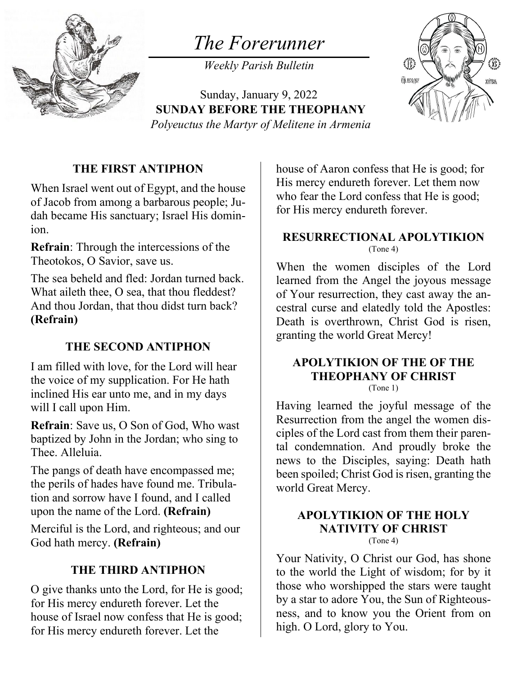

# *The Forerunner*

*Weekly Parish Bulletin*

Sunday, January 9, 2022 **SUNDAY BEFORE THE THEOPHANY** *Polyeuctus the Martyr of Melitene in Armenia*



### **THE FIRST ANTIPHON**

When Israel went out of Egypt, and the house of Jacob from among a barbarous people; Judah became His sanctuary; Israel His dominion.

**Refrain**: Through the intercessions of the Theotokos, O Savior, save us.

The sea beheld and fled: Jordan turned back. What aileth thee, O sea, that thou fleddest? And thou Jordan, that thou didst turn back? **(Refrain)**

### **THE SECOND ANTIPHON**

I am filled with love, for the Lord will hear the voice of my supplication. For He hath inclined His ear unto me, and in my days will I call upon Him.

**Refrain**: Save us, O Son of God, Who wast baptized by John in the Jordan; who sing to Thee. Alleluia.

The pangs of death have encompassed me; the perils of hades have found me. Tribulation and sorrow have I found, and I called upon the name of the Lord. **(Refrain)**

Merciful is the Lord, and righteous; and our God hath mercy. **(Refrain)**

### **THE THIRD ANTIPHON**

O give thanks unto the Lord, for He is good; for His mercy endureth forever. Let the house of Israel now confess that He is good; for His mercy endureth forever. Let the

house of Aaron confess that He is good; for His mercy endureth forever. Let them now who fear the Lord confess that He is good; for His mercy endureth forever.

#### **RESURRECTIONAL APOLYTIKION** (Tone 4)

When the women disciples of the Lord learned from the Angel the joyous message of Your resurrection, they cast away the ancestral curse and elatedly told the Apostles: Death is overthrown, Christ God is risen, granting the world Great Mercy!

## **APOLYTIKION OF THE OF THE THEOPHANY OF CHRIST**

(Tone 1)

Having learned the joyful message of the Resurrection from the angel the women disciples of the Lord cast from them their parental condemnation. And proudly broke the news to the Disciples, saying: Death hath been spoiled; Christ God is risen, granting the world Great Mercy.

#### **APOLYTIKION OF THE HOLY NATIVITY OF CHRIST** (Tone 4)

Your Nativity, O Christ our God, has shone to the world the Light of wisdom; for by it those who worshipped the stars were taught by a star to adore You, the Sun of Righteousness, and to know you the Orient from on high. O Lord, glory to You.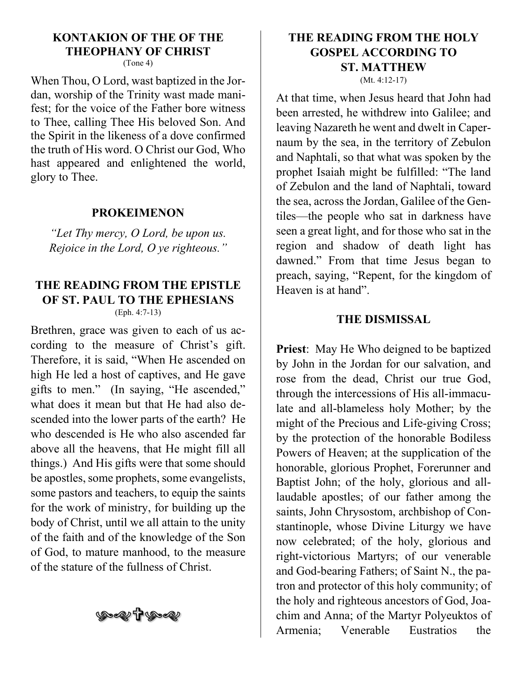# **KONTAKION OF THE OF THE THEOPHANY OF CHRIST**

(Tone 4)

When Thou, O Lord, wast baptized in the Jordan, worship of the Trinity wast made manifest; for the voice of the Father bore witness to Thee, calling Thee His beloved Son. And the Spirit in the likeness of a dove confirmed the truth of His word. O Christ our God, Who hast appeared and enlightened the world, glory to Thee.

#### **PROKEIMENON**

*"Let Thy mercy, O Lord, be upon us. Rejoice in the Lord, O ye righteous."*

#### **THE READING FROM THE EPISTLE OF ST. PAUL TO THE EPHESIANS** (Eph. 4:7-13)

Brethren, grace was given to each of us according to the measure of Christ's gift. Therefore, it is said, "When He ascended on high He led a host of captives, and He gave gifts to men." (In saying, "He ascended," what does it mean but that He had also descended into the lower parts of the earth? He who descended is He who also ascended far above all the heavens, that He might fill all things.) And His gifts were that some should be apostles, some prophets, some evangelists, some pastors and teachers, to equip the saints for the work of ministry, for building up the body of Christ, until we all attain to the unity of the faith and of the knowledge of the Son of God, to mature manhood, to the measure of the stature of the fullness of Christ.

**George TP (See 2)** 

# **THE READING FROM THE HOLY GOSPEL ACCORDING TO ST. MATTHEW**

(Mt. 4:12-17)

At that time, when Jesus heard that John had been arrested, he withdrew into Galilee; and leaving Nazareth he went and dwelt in Capernaum by the sea, in the territory of Zebulon and Naphtali, so that what was spoken by the prophet Isaiah might be fulfilled: "The land of Zebulon and the land of Naphtali, toward the sea, across the Jordan, Galilee of the Gentiles—the people who sat in darkness have seen a great light, and for those who sat in the region and shadow of death light has dawned." From that time Jesus began to preach, saying, "Repent, for the kingdom of Heaven is at hand".

#### **THE DISMISSAL**

**Priest**: May He Who deigned to be baptized by John in the Jordan for our salvation, and rose from the dead, Christ our true God, through the intercessions of His all-immaculate and all-blameless holy Mother; by the might of the Precious and Life-giving Cross; by the protection of the honorable Bodiless Powers of Heaven; at the supplication of the honorable, glorious Prophet, Forerunner and Baptist John; of the holy, glorious and alllaudable apostles; of our father among the saints, John Chrysostom, archbishop of Constantinople, whose Divine Liturgy we have now celebrated; of the holy, glorious and right-victorious Martyrs; of our venerable and God-bearing Fathers; of Saint N., the patron and protector of this holy community; of the holy and righteous ancestors of God, Joachim and Anna; of the Martyr Polyeuktos of Armenia; Venerable Eustratios the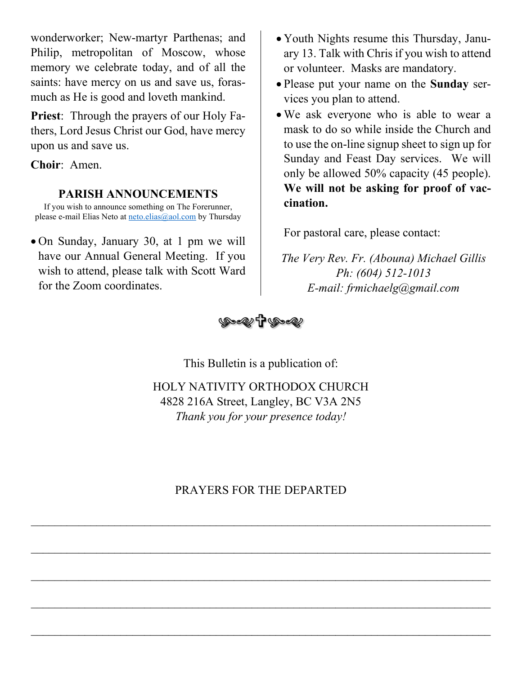wonderworker; New-martyr Parthenas; and Philip, metropolitan of Moscow, whose memory we celebrate today, and of all the saints: have mercy on us and save us, forasmuch as He is good and loveth mankind.

**Priest**: Through the prayers of our Holy Fathers, Lord Jesus Christ our God, have mercy upon us and save us.

**Choir**: Amen.

### **PARISH ANNOUNCEMENTS**

If you wish to announce something on The Forerunner, please e-mail Elias Neto at [neto.elias@aol.com](mailto:neto.elias@aol.com) by Thursday

• On Sunday, January 30, at 1 pm we will have our Annual General Meeting. If you wish to attend, please talk with Scott Ward for the Zoom coordinates.

- Youth Nights resume this Thursday, January 13. Talk with Chris if you wish to attend or volunteer. Masks are mandatory.
- Please put your name on the **Sunday** services you plan to attend.
- We ask everyone who is able to wear a mask to do so while inside the Church and to use the on-line signup sheet to sign up for Sunday and Feast Day services. We will only be allowed 50% capacity (45 people). **We will not be asking for proof of vaccination.**

For pastoral care, please contact:

*The Very Rev. Fr. (Abouna) Michael Gillis Ph: (604) 512-1013 E-mail: frmichaelg@gmail.com*



This Bulletin is a publication of:

HOLY NATIVITY ORTHODOX CHURCH 4828 216A Street, Langley, BC V3A 2N5 *Thank you for your presence today!*

## PRAYERS FOR THE DEPARTED

\_\_\_\_\_\_\_\_\_\_\_\_\_\_\_\_\_\_\_\_\_\_\_\_\_\_\_\_\_\_\_\_\_\_\_\_\_\_\_\_\_\_\_\_\_\_\_\_\_\_\_\_\_\_\_\_\_\_\_\_\_\_\_\_\_\_\_\_\_\_\_\_\_\_\_\_\_

\_\_\_\_\_\_\_\_\_\_\_\_\_\_\_\_\_\_\_\_\_\_\_\_\_\_\_\_\_\_\_\_\_\_\_\_\_\_\_\_\_\_\_\_\_\_\_\_\_\_\_\_\_\_\_\_\_\_\_\_\_\_\_\_\_\_\_\_\_\_\_\_\_\_\_\_\_

\_\_\_\_\_\_\_\_\_\_\_\_\_\_\_\_\_\_\_\_\_\_\_\_\_\_\_\_\_\_\_\_\_\_\_\_\_\_\_\_\_\_\_\_\_\_\_\_\_\_\_\_\_\_\_\_\_\_\_\_\_\_\_\_\_\_\_\_\_\_\_\_\_\_\_\_\_

\_\_\_\_\_\_\_\_\_\_\_\_\_\_\_\_\_\_\_\_\_\_\_\_\_\_\_\_\_\_\_\_\_\_\_\_\_\_\_\_\_\_\_\_\_\_\_\_\_\_\_\_\_\_\_\_\_\_\_\_\_\_\_\_\_\_\_\_\_\_\_\_\_\_\_\_\_

\_\_\_\_\_\_\_\_\_\_\_\_\_\_\_\_\_\_\_\_\_\_\_\_\_\_\_\_\_\_\_\_\_\_\_\_\_\_\_\_\_\_\_\_\_\_\_\_\_\_\_\_\_\_\_\_\_\_\_\_\_\_\_\_\_\_\_\_\_\_\_\_\_\_\_\_\_